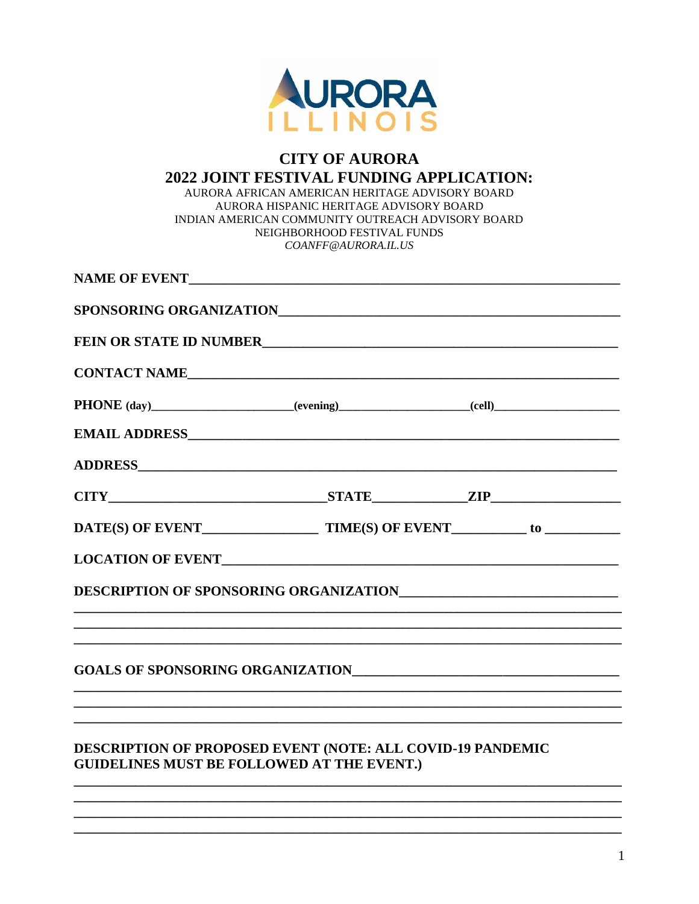

## **CITY OF AURORA** 2022 JOINT FESTIVAL FUNDING APPLICATION: AURORA AFRICAN AMERICAN HERITAGE ADVISORY BOARD AURORA HISPANIC HERITAGE ADVISORY BOARD INDIAN AMERICAN COMMUNITY OUTREACH ADVISORY BOARD NEIGHBORHOOD FESTIVAL FUNDS COANFF@AURORA.IL.US

|  | CONTACT NAME                                                                     |
|--|----------------------------------------------------------------------------------|
|  |                                                                                  |
|  |                                                                                  |
|  |                                                                                  |
|  |                                                                                  |
|  |                                                                                  |
|  |                                                                                  |
|  |                                                                                  |
|  |                                                                                  |
|  |                                                                                  |
|  | ,我们也不能在这里的,我们也不能在这里的时候,我们也不能在这里的时候,我们也不能会不能在这里的时候,我们也不能会不能会不能会不能会不能会不能会不能会不能会不能会 |
|  |                                                                                  |
|  | DECONDENCY OF BROBOGED EVENIE (MOED, ALL COVID-10 BANDEMIC                       |

## **DESCRIPTION OF PROPOSED EVENT (NOTE: ALL COVID-19 PANDEMIC GUIDELINES MUST BE FOLLOWED AT THE EVENT.)**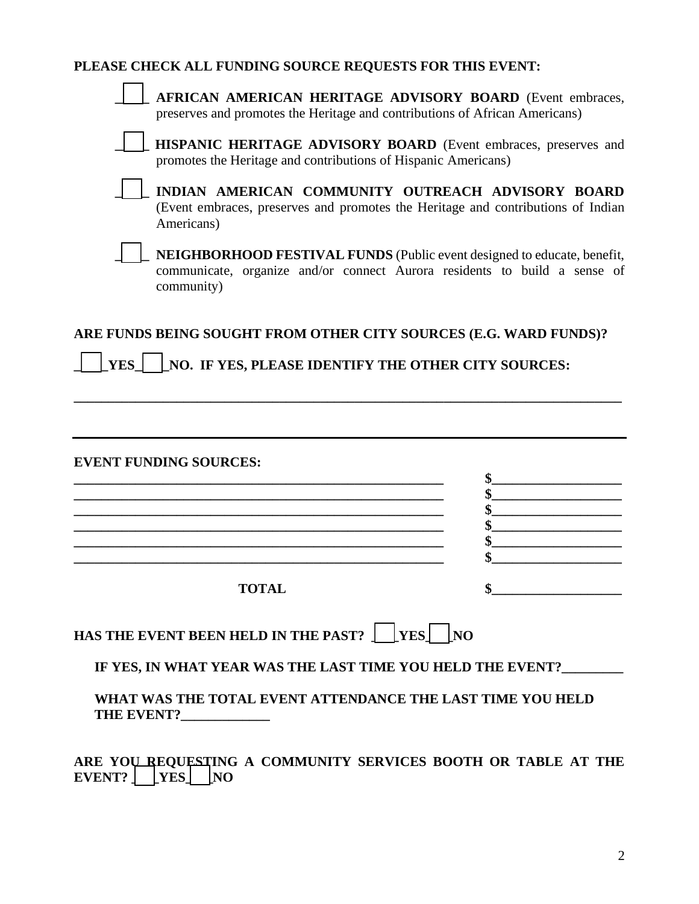|  | PLEASE CHECK ALL FUNDING SOURCE REQUESTS FOR THIS EVENT: |  |  |
|--|----------------------------------------------------------|--|--|
|  |                                                          |  |  |

| AFRICAN AMERICAN HERITAGE ADVISORY BOARD (Event embraces,<br>preserves and promotes the Heritage and contributions of African Americans)                           |          |  |  |  |  |
|--------------------------------------------------------------------------------------------------------------------------------------------------------------------|----------|--|--|--|--|
| HISPANIC HERITAGE ADVISORY BOARD (Event embraces, preserves and<br>promotes the Heritage and contributions of Hispanic Americans)                                  |          |  |  |  |  |
| INDIAN AMERICAN COMMUNITY OUTREACH ADVISORY BOARD<br>(Event embraces, preserves and promotes the Heritage and contributions of Indian<br>Americans)                |          |  |  |  |  |
| NEIGHBORHOOD FESTIVAL FUNDS (Public event designed to educate, benefit,<br>communicate, organize and/or connect Aurora residents to build a sense of<br>community) |          |  |  |  |  |
| ARE FUNDS BEING SOUGHT FROM OTHER CITY SOURCES (E.G. WARD FUNDS)?<br>NO. IF YES, PLEASE IDENTIFY THE OTHER CITY SOURCES:<br>YES                                    |          |  |  |  |  |
|                                                                                                                                                                    |          |  |  |  |  |
| <b>EVENT FUNDING SOURCES:</b>                                                                                                                                      | \$       |  |  |  |  |
|                                                                                                                                                                    | \$       |  |  |  |  |
|                                                                                                                                                                    | \$<br>\$ |  |  |  |  |
|                                                                                                                                                                    | \$       |  |  |  |  |
|                                                                                                                                                                    |          |  |  |  |  |
| <b>TOTAL</b>                                                                                                                                                       |          |  |  |  |  |
| HAS THE EVENT BEEN HELD IN THE PAST? $\int$ [YES] [NO                                                                                                              |          |  |  |  |  |
| IF YES, IN WHAT YEAR WAS THE LAST TIME YOU HELD THE EVENT?_______                                                                                                  |          |  |  |  |  |
| WHAT WAS THE TOTAL EVENT ATTENDANCE THE LAST TIME YOU HELD<br>THE EVENT?_____________                                                                              |          |  |  |  |  |
| ARE YOU REQUESTING A COMMUNITY SERVICES BOOTH OR TABLE AT THE<br><b>EVENT?</b><br>$ {\rm \,}$ YES $ $<br>$\overline{\mathbf{N}}$                                   |          |  |  |  |  |